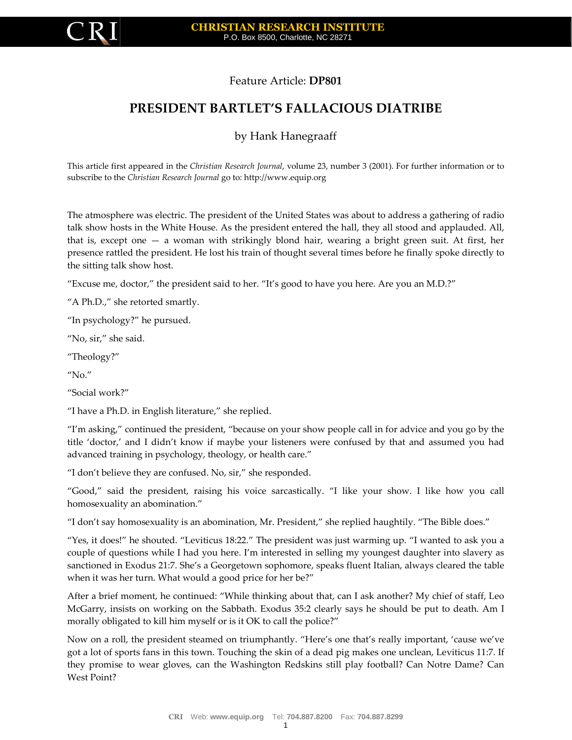

# Feature Article: **DP801**

# **PRESIDENT BARTLET'S FALLACIOUS DIATRIBE**

by Hank Hanegraaff

This article first appeared in the *Christian Research Journal*, volume 23, number 3 (2001). For further information or to subscribe to the *Christian Research Journal* go to: http://www.equip.org

The atmosphere was electric. The president of the United States was about to address a gathering of radio talk show hosts in the White House. As the president entered the hall, they all stood and applauded. All, that is, except one — a woman with strikingly blond hair, wearing a bright green suit. At first, her presence rattled the president. He lost his train of thought several times before he finally spoke directly to the sitting talk show host.

"Excuse me, doctor," the president said to her. "It's good to have you here. Are you an M.D.?"

"A Ph.D.," she retorted smartly.

"In psychology?" he pursued.

"No, sir," she said.

"Theology?"

" $No."$ 

"Social work?"

"I have a Ph.D. in English literature," she replied.

"I'm asking," continued the president, "because on your show people call in for advice and you go by the title 'doctor,' and I didn't know if maybe your listeners were confused by that and assumed you had advanced training in psychology, theology, or health care."

"I don't believe they are confused. No, sir," she responded.

"Good," said the president, raising his voice sarcastically. "I like your show. I like how you call homosexuality an abomination."

"I don't say homosexuality is an abomination, Mr. President," she replied haughtily. "The Bible does."

"Yes, it does!" he shouted. "Leviticus 18:22." The president was just warming up. "I wanted to ask you a couple of questions while I had you here. I'm interested in selling my youngest daughter into slavery as sanctioned in Exodus 21:7. She's a Georgetown sophomore, speaks fluent Italian, always cleared the table when it was her turn. What would a good price for her be?"

After a brief moment, he continued: "While thinking about that, can I ask another? My chief of staff, Leo McGarry, insists on working on the Sabbath. Exodus 35:2 clearly says he should be put to death. Am I morally obligated to kill him myself or is it OK to call the police?"

Now on a roll, the president steamed on triumphantly. "Here's one that's really important, 'cause we've got a lot of sports fans in this town. Touching the skin of a dead pig makes one unclean, Leviticus 11:7. If they promise to wear gloves, can the Washington Redskins still play football? Can Notre Dame? Can West Point?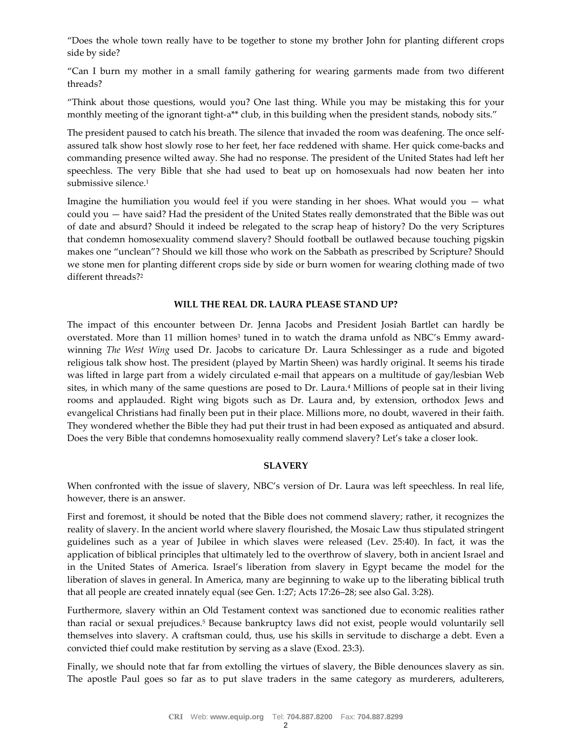"Does the whole town really have to be together to stone my brother John for planting different crops side by side?

"Can I burn my mother in a small family gathering for wearing garments made from two different threads?

"Think about those questions, would you? One last thing. While you may be mistaking this for your monthly meeting of the ignorant tight-a\*\* club, in this building when the president stands, nobody sits."

The president paused to catch his breath. The silence that invaded the room was deafening. The once selfassured talk show host slowly rose to her feet, her face reddened with shame. Her quick come-backs and commanding presence wilted away. She had no response. The president of the United States had left her speechless. The very Bible that she had used to beat up on homosexuals had now beaten her into submissive silence.<sup>1</sup>

Imagine the humiliation you would feel if you were standing in her shoes. What would you — what could you — have said? Had the president of the United States really demonstrated that the Bible was out of date and absurd? Should it indeed be relegated to the scrap heap of history? Do the very Scriptures that condemn homosexuality commend slavery? Should football be outlawed because touching pigskin makes one "unclean"? Should we kill those who work on the Sabbath as prescribed by Scripture? Should we stone men for planting different crops side by side or burn women for wearing clothing made of two different threads?<sup>2</sup>

# **WILL THE REAL DR. LAURA PLEASE STAND UP?**

The impact of this encounter between Dr. Jenna Jacobs and President Josiah Bartlet can hardly be overstated. More than 11 million homes<sup>3</sup> tuned in to watch the drama unfold as NBC's Emmy awardwinning *The West Wing* used Dr. Jacobs to caricature Dr. Laura Schlessinger as a rude and bigoted religious talk show host. The president (played by Martin Sheen) was hardly original. It seems his tirade was lifted in large part from a widely circulated e-mail that appears on a multitude of gay/lesbian Web sites, in which many of the same questions are posed to Dr. Laura.<sup>4</sup> Millions of people sat in their living rooms and applauded. Right wing bigots such as Dr. Laura and, by extension, orthodox Jews and evangelical Christians had finally been put in their place. Millions more, no doubt, wavered in their faith. They wondered whether the Bible they had put their trust in had been exposed as antiquated and absurd. Does the very Bible that condemns homosexuality really commend slavery? Let's take a closer look.

#### **SLAVERY**

When confronted with the issue of slavery, NBC's version of Dr. Laura was left speechless. In real life, however, there is an answer.

First and foremost, it should be noted that the Bible does not commend slavery; rather, it recognizes the reality of slavery. In the ancient world where slavery flourished, the Mosaic Law thus stipulated stringent guidelines such as a year of Jubilee in which slaves were released (Lev. 25:40). In fact, it was the application of biblical principles that ultimately led to the overthrow of slavery, both in ancient Israel and in the United States of America. Israel's liberation from slavery in Egypt became the model for the liberation of slaves in general. In America, many are beginning to wake up to the liberating biblical truth that all people are created innately equal (see Gen. 1:27; Acts 17:26–28; see also Gal. 3:28).

Furthermore, slavery within an Old Testament context was sanctioned due to economic realities rather than racial or sexual prejudices.<sup>5</sup> Because bankruptcy laws did not exist, people would voluntarily sell themselves into slavery. A craftsman could, thus, use his skills in servitude to discharge a debt. Even a convicted thief could make restitution by serving as a slave (Exod. 23:3).

Finally, we should note that far from extolling the virtues of slavery, the Bible denounces slavery as sin. The apostle Paul goes so far as to put slave traders in the same category as murderers, adulterers,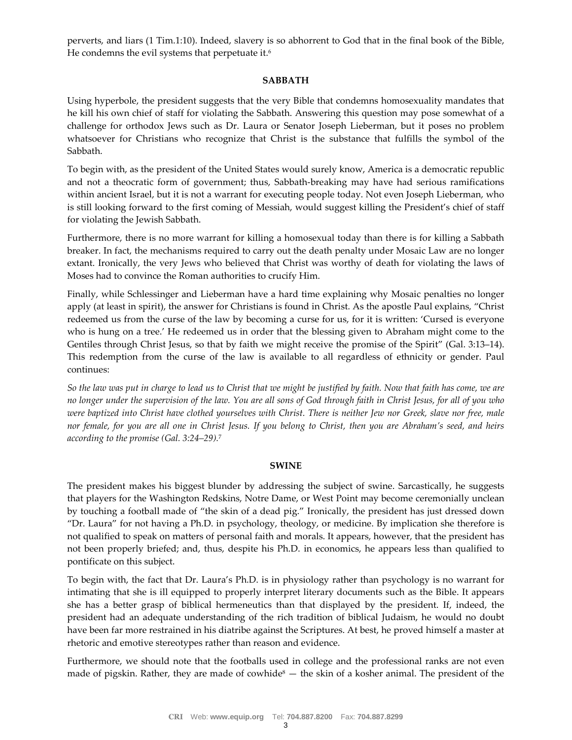perverts, and liars (1 Tim.1:10). Indeed, slavery is so abhorrent to God that in the final book of the Bible, He condemns the evil systems that perpetuate it.<sup>6</sup>

#### **SABBATH**

Using hyperbole, the president suggests that the very Bible that condemns homosexuality mandates that he kill his own chief of staff for violating the Sabbath. Answering this question may pose somewhat of a challenge for orthodox Jews such as Dr. Laura or Senator Joseph Lieberman, but it poses no problem whatsoever for Christians who recognize that Christ is the substance that fulfills the symbol of the Sabbath.

To begin with, as the president of the United States would surely know, America is a democratic republic and not a theocratic form of government; thus, Sabbath-breaking may have had serious ramifications within ancient Israel, but it is not a warrant for executing people today. Not even Joseph Lieberman, who is still looking forward to the first coming of Messiah, would suggest killing the President's chief of staff for violating the Jewish Sabbath.

Furthermore, there is no more warrant for killing a homosexual today than there is for killing a Sabbath breaker. In fact, the mechanisms required to carry out the death penalty under Mosaic Law are no longer extant. Ironically, the very Jews who believed that Christ was worthy of death for violating the laws of Moses had to convince the Roman authorities to crucify Him.

Finally, while Schlessinger and Lieberman have a hard time explaining why Mosaic penalties no longer apply (at least in spirit), the answer for Christians is found in Christ. As the apostle Paul explains, "Christ redeemed us from the curse of the law by becoming a curse for us, for it is written: 'Cursed is everyone who is hung on a tree.' He redeemed us in order that the blessing given to Abraham might come to the Gentiles through Christ Jesus, so that by faith we might receive the promise of the Spirit" (Gal. 3:13–14). This redemption from the curse of the law is available to all regardless of ethnicity or gender. Paul continues:

*So the law was put in charge to lead us to Christ that we might be justified by faith. Now that faith has come, we are no longer under the supervision of the law. You are all sons of God through faith in Christ Jesus, for all of you who were baptized into Christ have clothed yourselves with Christ. There is neither Jew nor Greek, slave nor free, male nor female, for you are all one in Christ Jesus. If you belong to Christ, then you are Abraham's seed, and heirs according to the promise (Gal. 3:24–29).*<sup>7</sup>

# **SWINE**

The president makes his biggest blunder by addressing the subject of swine. Sarcastically, he suggests that players for the Washington Redskins, Notre Dame, or West Point may become ceremonially unclean by touching a football made of "the skin of a dead pig." Ironically, the president has just dressed down "Dr. Laura" for not having a Ph.D. in psychology, theology, or medicine. By implication she therefore is not qualified to speak on matters of personal faith and morals. It appears, however, that the president has not been properly briefed; and, thus, despite his Ph.D. in economics, he appears less than qualified to pontificate on this subject.

To begin with, the fact that Dr. Laura's Ph.D. is in physiology rather than psychology is no warrant for intimating that she is ill equipped to properly interpret literary documents such as the Bible. It appears she has a better grasp of biblical hermeneutics than that displayed by the president. If, indeed, the president had an adequate understanding of the rich tradition of biblical Judaism, he would no doubt have been far more restrained in his diatribe against the Scriptures. At best, he proved himself a master at rhetoric and emotive stereotypes rather than reason and evidence.

Furthermore, we should note that the footballs used in college and the professional ranks are not even made of pigskin. Rather, they are made of cowhide<sup>8</sup>  $-$  the skin of a kosher animal. The president of the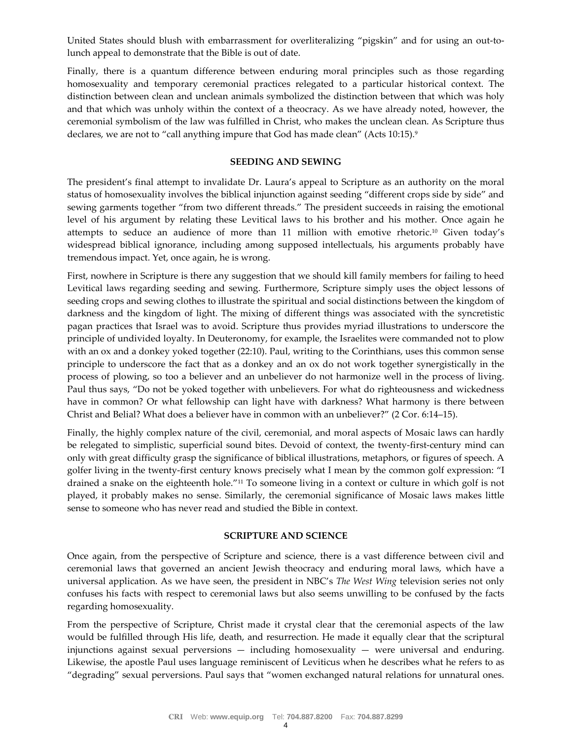United States should blush with embarrassment for overliteralizing "pigskin" and for using an out-tolunch appeal to demonstrate that the Bible is out of date.

Finally, there is a quantum difference between enduring moral principles such as those regarding homosexuality and temporary ceremonial practices relegated to a particular historical context. The distinction between clean and unclean animals symbolized the distinction between that which was holy and that which was unholy within the context of a theocracy. As we have already noted, however, the ceremonial symbolism of the law was fulfilled in Christ, who makes the unclean clean. As Scripture thus declares, we are not to "call anything impure that God has made clean" (Acts 10:15).<sup>9</sup>

# **SEEDING AND SEWING**

The president's final attempt to invalidate Dr. Laura's appeal to Scripture as an authority on the moral status of homosexuality involves the biblical injunction against seeding "different crops side by side" and sewing garments together "from two different threads." The president succeeds in raising the emotional level of his argument by relating these Levitical laws to his brother and his mother. Once again he attempts to seduce an audience of more than 11 million with emotive rhetoric.<sup>10</sup> Given today's widespread biblical ignorance, including among supposed intellectuals, his arguments probably have tremendous impact. Yet, once again, he is wrong.

First, nowhere in Scripture is there any suggestion that we should kill family members for failing to heed Levitical laws regarding seeding and sewing. Furthermore, Scripture simply uses the object lessons of seeding crops and sewing clothes to illustrate the spiritual and social distinctions between the kingdom of darkness and the kingdom of light. The mixing of different things was associated with the syncretistic pagan practices that Israel was to avoid. Scripture thus provides myriad illustrations to underscore the principle of undivided loyalty. In Deuteronomy, for example, the Israelites were commanded not to plow with an ox and a donkey yoked together (22:10). Paul, writing to the Corinthians, uses this common sense principle to underscore the fact that as a donkey and an ox do not work together synergistically in the process of plowing, so too a believer and an unbeliever do not harmonize well in the process of living. Paul thus says, "Do not be yoked together with unbelievers. For what do righteousness and wickedness have in common? Or what fellowship can light have with darkness? What harmony is there between Christ and Belial? What does a believer have in common with an unbeliever?" (2 Cor. 6:14–15).

Finally, the highly complex nature of the civil, ceremonial, and moral aspects of Mosaic laws can hardly be relegated to simplistic, superficial sound bites. Devoid of context, the twenty-first-century mind can only with great difficulty grasp the significance of biblical illustrations, metaphors, or figures of speech. A golfer living in the twenty-first century knows precisely what I mean by the common golf expression: "I drained a snake on the eighteenth hole."<sup>11</sup> To someone living in a context or culture in which golf is not played, it probably makes no sense. Similarly, the ceremonial significance of Mosaic laws makes little sense to someone who has never read and studied the Bible in context.

# **SCRIPTURE AND SCIENCE**

Once again, from the perspective of Scripture and science, there is a vast difference between civil and ceremonial laws that governed an ancient Jewish theocracy and enduring moral laws, which have a universal application. As we have seen, the president in NBC's *The West Wing* television series not only confuses his facts with respect to ceremonial laws but also seems unwilling to be confused by the facts regarding homosexuality.

From the perspective of Scripture, Christ made it crystal clear that the ceremonial aspects of the law would be fulfilled through His life, death, and resurrection. He made it equally clear that the scriptural injunctions against sexual perversions — including homosexuality — were universal and enduring. Likewise, the apostle Paul uses language reminiscent of Leviticus when he describes what he refers to as "degrading" sexual perversions. Paul says that "women exchanged natural relations for unnatural ones.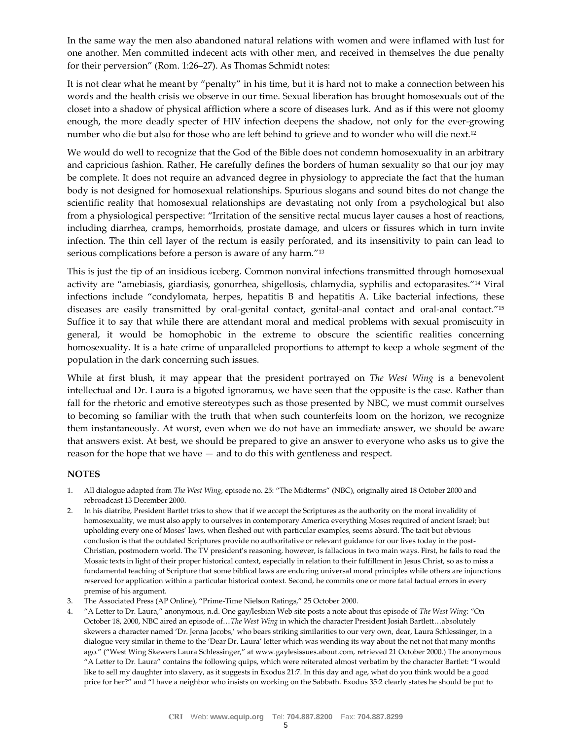In the same way the men also abandoned natural relations with women and were inflamed with lust for one another. Men committed indecent acts with other men, and received in themselves the due penalty for their perversion" (Rom. 1:26–27). As Thomas Schmidt notes:

It is not clear what he meant by "penalty" in his time, but it is hard not to make a connection between his words and the health crisis we observe in our time. Sexual liberation has brought homosexuals out of the closet into a shadow of physical affliction where a score of diseases lurk. And as if this were not gloomy enough, the more deadly specter of HIV infection deepens the shadow, not only for the ever-growing number who die but also for those who are left behind to grieve and to wonder who will die next.<sup>12</sup>

We would do well to recognize that the God of the Bible does not condemn homosexuality in an arbitrary and capricious fashion. Rather, He carefully defines the borders of human sexuality so that our joy may be complete. It does not require an advanced degree in physiology to appreciate the fact that the human body is not designed for homosexual relationships. Spurious slogans and sound bites do not change the scientific reality that homosexual relationships are devastating not only from a psychological but also from a physiological perspective: "Irritation of the sensitive rectal mucus layer causes a host of reactions, including diarrhea, cramps, hemorrhoids, prostate damage, and ulcers or fissures which in turn invite infection. The thin cell layer of the rectum is easily perforated, and its insensitivity to pain can lead to serious complications before a person is aware of any harm."<sup>13</sup>

This is just the tip of an insidious iceberg. Common nonviral infections transmitted through homosexual activity are "amebiasis, giardiasis, gonorrhea, shigellosis, chlamydia, syphilis and ectoparasites."<sup>14</sup> Viral infections include "condylomata, herpes, hepatitis B and hepatitis A. Like bacterial infections, these diseases are easily transmitted by oral-genital contact, genital-anal contact and oral-anal contact."<sup>15</sup> Suffice it to say that while there are attendant moral and medical problems with sexual promiscuity in general, it would be homophobic in the extreme to obscure the scientific realities concerning homosexuality. It is a hate crime of unparalleled proportions to attempt to keep a whole segment of the population in the dark concerning such issues.

While at first blush, it may appear that the president portrayed on *The West Wing* is a benevolent intellectual and Dr. Laura is a bigoted ignoramus, we have seen that the opposite is the case. Rather than fall for the rhetoric and emotive stereotypes such as those presented by NBC, we must commit ourselves to becoming so familiar with the truth that when such counterfeits loom on the horizon, we recognize them instantaneously. At worst, even when we do not have an immediate answer, we should be aware that answers exist. At best, we should be prepared to give an answer to everyone who asks us to give the reason for the hope that we have — and to do this with gentleness and respect.

#### **NOTES**

- 1. All dialogue adapted from *The West Wing*, episode no. 25: "The Midterms" (NBC), originally aired 18 October 2000 and rebroadcast 13 December 2000.
- 2. In his diatribe, President Bartlet tries to show that if we accept the Scriptures as the authority on the moral invalidity of homosexuality, we must also apply to ourselves in contemporary America everything Moses required of ancient Israel; but upholding every one of Moses' laws, when fleshed out with particular examples, seems absurd. The tacit but obvious conclusion is that the outdated Scriptures provide no authoritative or relevant guidance for our lives today in the post-Christian, postmodern world. The TV president's reasoning, however, is fallacious in two main ways. First, he fails to read the Mosaic texts in light of their proper historical context, especially in relation to their fulfillment in Jesus Christ, so as to miss a fundamental teaching of Scripture that some biblical laws are enduring universal moral principles while others are injunctions reserved for application within a particular historical context. Second, he commits one or more fatal factual errors in every premise of his argument.
- 3. The Associated Press (AP Online), "Prime-Time Nielson Ratings," 25 October 2000.
- 4. "A Letter to Dr. Laura," anonymous, n.d. One gay/lesbian Web site posts a note about this episode of *The West Wing*: "On October 18, 2000, NBC aired an episode of…*The West Wing* in which the character President Josiah Bartlett…absolutely skewers a character named 'Dr. Jenna Jacobs,' who bears striking similarities to our very own, dear, Laura Schlessinger, in a dialogue very similar in theme to the 'Dear Dr. Laura' letter which was wending its way about the net not that many months ago." ("West Wing Skewers Laura Schlessinger," at www.gaylesissues.about.com, retrieved 21 October 2000.) The anonymous "A Letter to Dr. Laura" contains the following quips, which were reiterated almost verbatim by the character Bartlet: "I would like to sell my daughter into slavery, as it suggests in Exodus 21:7. In this day and age, what do you think would be a good price for her?" and "I have a neighbor who insists on working on the Sabbath. Exodus 35:2 clearly states he should be put to